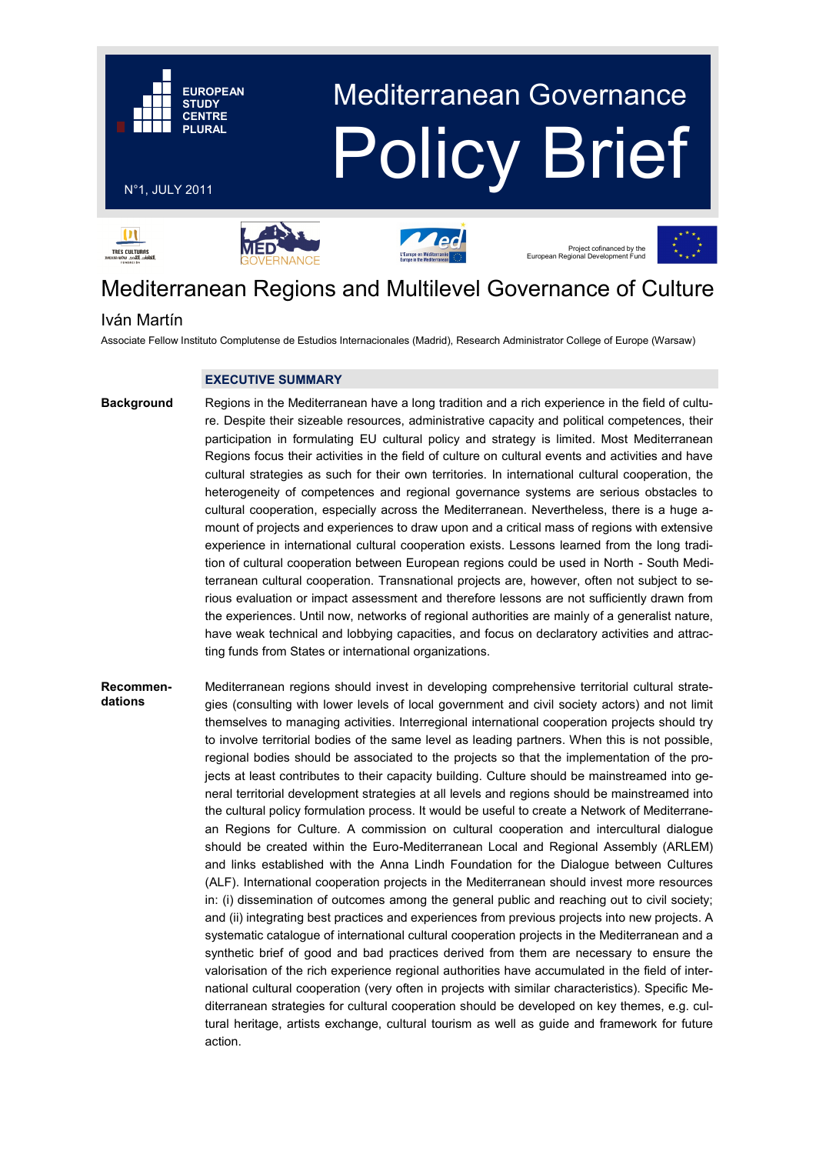

# Mediterranean Regions and Multilevel Governance of Culture

# Iván Martín

Associate Fellow Instituto Complutense de Estudios Internacionales (Madrid), Research Administrator College of Europe (Warsaw)

# **EXECUTIVE SUMMARY**

**Background**

Regions in the Mediterranean have a long tradition and a rich experience in the field of culture. Despite their sizeable resources, administrative capacity and political competences, their participation in formulating EU cultural policy and strategy is limited. Most Mediterranean Regions focus their activities in the field of culture on cultural events and activities and have cultural strategies as such for their own territories. In international cultural cooperation, the heterogeneity of competences and regional governance systems are serious obstacles to cultural cooperation, especially across the Mediterranean. Nevertheless, there is a huge amount of projects and experiences to draw upon and a critical mass of regions with extensive experience in international cultural cooperation exists. Lessons learned from the long tradition of cultural cooperation between European regions could be used in North - South Mediterranean cultural cooperation. Transnational projects are, however, often not subject to serious evaluation or impact assessment and therefore lessons are not sufficiently drawn from the experiences. Until now, networks of regional authorities are mainly of a generalist nature, have weak technical and lobbying capacities, and focus on declaratory activities and attracting funds from States or international organizations.

# Mediterranean regions should invest in developing comprehensive territorial cultural strategies (consulting with lower levels of local government and civil society actors) and not limit themselves to managing activities. Interregional international cooperation projects should try to involve territorial bodies of the same level as leading partners. When this is not possible, regional bodies should be associated to the projects so that the implementation of the projects at least contributes to their capacity building. Culture should be mainstreamed into general territorial development strategies at all levels and regions should be mainstreamed into the cultural policy formulation process. It would be useful to create a Network of Mediterranean Regions for Culture. A commission on cultural cooperation and intercultural dialogue should be created within the Euro-Mediterranean Local and Regional Assembly (ARLEM) and links established with the Anna Lindh Foundation for the Dialogue between Cultures (ALF). International cooperation projects in the Mediterranean should invest more resources in: (i) dissemination of outcomes among the general public and reaching out to civil society; and (ii) integrating best practices and experiences from previous projects into new projects. A systematic catalogue of international cultural cooperation projects in the Mediterranean and a synthetic brief of good and bad practices derived from them are necessary to ensure the valorisation of the rich experience regional authorities have accumulated in the field of international cultural cooperation (very often in projects with similar characteristics). Specific Mediterranean strategies for cultural cooperation should be developed on key themes, e.g. cultural heritage, artists exchange, cultural tourism as well as guide and framework for future action. **Recommendations**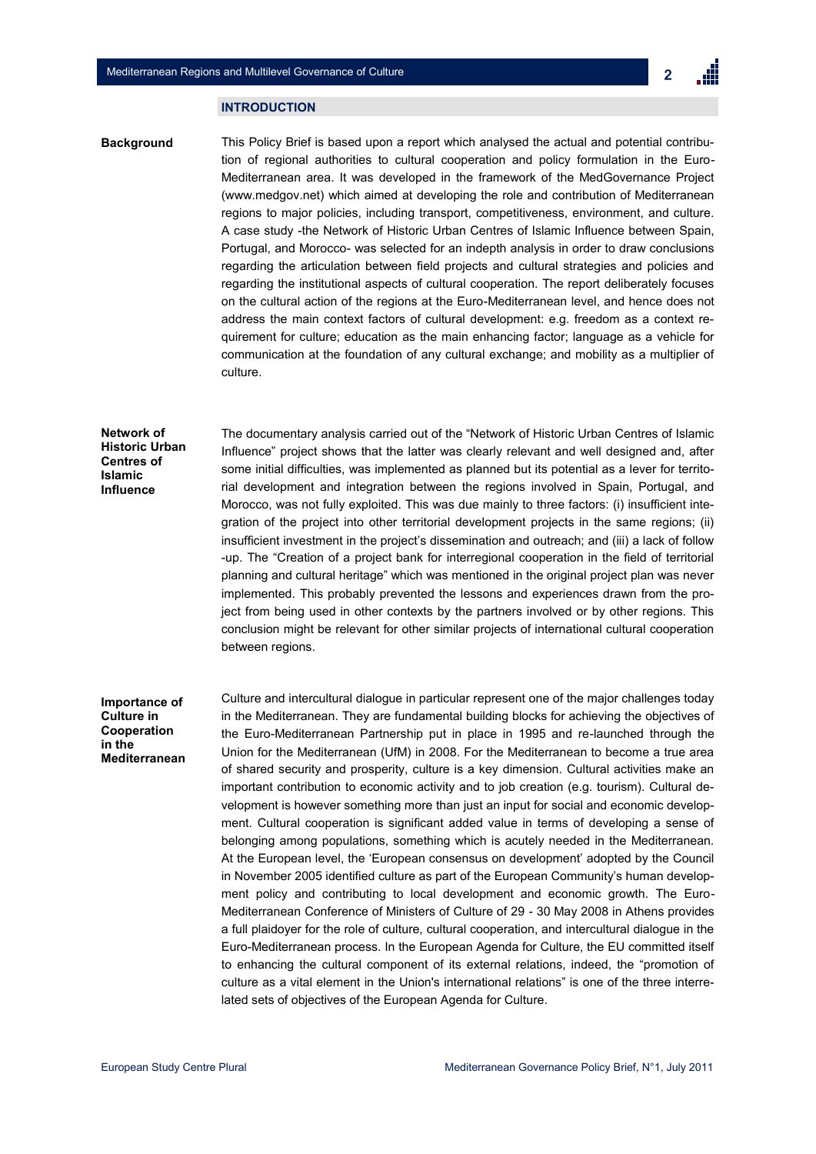#### **INTRODUCTION**

This Policy Brief is based upon a report which analysed the actual and potential contribution of regional authorities to cultural cooperation and policy formulation in the Euro-Mediterranean area. It was developed in the framework of the MedGovernance Project (www.medgov.net) which aimed at developing the role and contribution of Mediterranean regions to major policies, including transport, competitiveness, environment, and culture. A case study -the Network of Historic Urban Centres of Islamic Influence between Spain, Portugal, and Morocco- was selected for an indepth analysis in order to draw conclusions regarding the articulation between field projects and cultural strategies and policies and regarding the institutional aspects of cultural cooperation. The report deliberately focuses on the cultural action of the regions at the Euro-Mediterranean level, and hence does not address the main context factors of cultural development: e.g. freedom as a context requirement for culture; education as the main enhancing factor; language as a vehicle for communication at the foundation of any cultural exchange; and mobility as a multiplier of culture. **Background**

### **Network of Historic Urban Centres of Islamic Influence**

The documentary analysis carried out of the "Network of Historic Urban Centres of Islamic Influence" project shows that the latter was clearly relevant and well designed and, after some initial difficulties, was implemented as planned but its potential as a lever for territorial development and integration between the regions involved in Spain, Portugal, and Morocco, was not fully exploited. This was due mainly to three factors: (i) insufficient integration of the project into other territorial development projects in the same regions; (ii) insufficient investment in the project's dissemination and outreach; and (iii) a lack of follow -up. The "Creation of a project bank for interregional cooperation in the field of territorial planning and cultural heritage" which was mentioned in the original project plan was never implemented. This probably prevented the lessons and experiences drawn from the project from being used in other contexts by the partners involved or by other regions. This conclusion might be relevant for other similar projects of international cultural cooperation between regions.

### **Importance of Culture in Cooperation in the Mediterranean**

Culture and intercultural dialogue in particular represent one of the major challenges today in the Mediterranean. They are fundamental building blocks for achieving the objectives of the Euro-Mediterranean Partnership put in place in 1995 and re-launched through the Union for the Mediterranean (UfM) in 2008. For the Mediterranean to become a true area of shared security and prosperity, culture is a key dimension. Cultural activities make an important contribution to economic activity and to job creation (e.g. tourism). Cultural development is however something more than just an input for social and economic development. Cultural cooperation is significant added value in terms of developing a sense of belonging among populations, something which is acutely needed in the Mediterranean. At the European level, the "European consensus on development" adopted by the Council in November 2005 identified culture as part of the European Community's human development policy and contributing to local development and economic growth. The Euro-Mediterranean Conference of Ministers of Culture of 29 - 30 May 2008 in Athens provides a full plaidoyer for the role of culture, cultural cooperation, and intercultural dialogue in the Euro-Mediterranean process. In the European Agenda for Culture, the EU committed itself to enhancing the cultural component of its external relations, indeed, the "promotion of culture as a vital element in the Union's international relations" is one of the three interrelated sets of objectives of the European Agenda for Culture.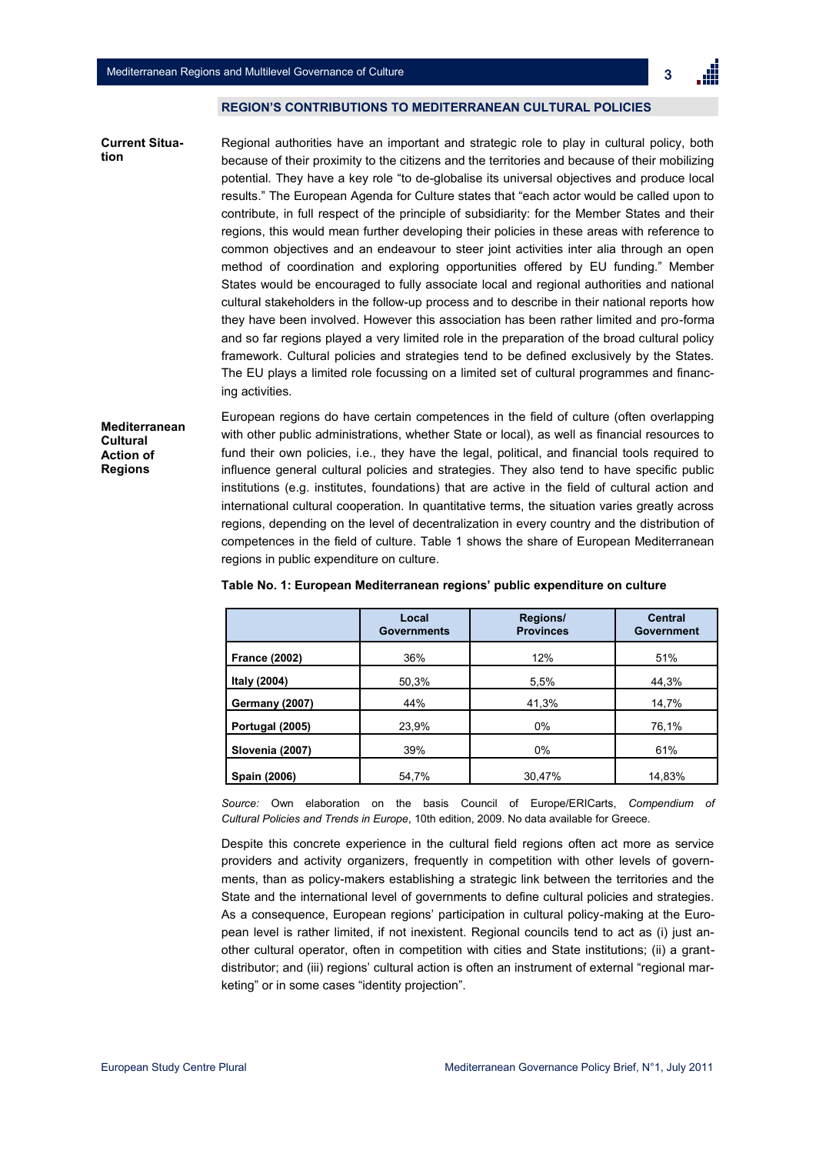

### **REGION'S CONTRIBUTIONS TO MEDITERRANEAN CULTURAL POLICIES**

Regional authorities have an important and strategic role to play in cultural policy, both because of their proximity to the citizens and the territories and because of their mobilizing potential. They have a key role "to de-globalise its universal objectives and produce local results." The European Agenda for Culture states that "each actor would be called upon to contribute, in full respect of the principle of subsidiarity: for the Member States and their regions, this would mean further developing their policies in these areas with reference to common objectives and an endeavour to steer joint activities inter alia through an open method of coordination and exploring opportunities offered by EU funding." Member States would be encouraged to fully associate local and regional authorities and national cultural stakeholders in the follow-up process and to describe in their national reports how they have been involved. However this association has been rather limited and pro-forma and so far regions played a very limited role in the preparation of the broad cultural policy framework. Cultural policies and strategies tend to be defined exclusively by the States. The EU plays a limited role focussing on a limited set of cultural programmes and financing activities. **Current Situation**

**Mediterranean Cultural Action of Regions**

European regions do have certain competences in the field of culture (often overlapping with other public administrations, whether State or local), as well as financial resources to fund their own policies, i.e., they have the legal, political, and financial tools required to influence general cultural policies and strategies. They also tend to have specific public institutions (e.g. institutes, foundations) that are active in the field of cultural action and international cultural cooperation. In quantitative terms, the situation varies greatly across regions, depending on the level of decentralization in every country and the distribution of competences in the field of culture. Table 1 shows the share of European Mediterranean regions in public expenditure on culture.

|                       | Local<br><b>Governments</b> | Regions/<br><b>Provinces</b> | <b>Central</b><br><b>Government</b> |
|-----------------------|-----------------------------|------------------------------|-------------------------------------|
| <b>France (2002)</b>  | 36%                         | 12%                          | 51%                                 |
| Italy (2004)          | 50,3%                       | 5,5%                         | 44,3%                               |
| <b>Germany (2007)</b> | 44%                         | 41,3%                        | 14,7%                               |
| Portugal (2005)       | 23,9%                       | 0%                           | 76,1%                               |
| Slovenia (2007)       | 39%                         | 0%                           | 61%                                 |
| Spain (2006)          | 54,7%                       | 30,47%                       | 14,83%                              |

#### **Table No. 1: European Mediterranean regions' public expenditure on culture**

*Source:* Own elaboration on the basis Council of Europe/ERICarts, *Compendium of Cultural Policies and Trends in Europe*, 10th edition, 2009. No data available for Greece.

Despite this concrete experience in the cultural field regions often act more as service providers and activity organizers, frequently in competition with other levels of governments, than as policy-makers establishing a strategic link between the territories and the State and the international level of governments to define cultural policies and strategies. As a consequence, European regions" participation in cultural policy-making at the European level is rather limited, if not inexistent. Regional councils tend to act as (i) just another cultural operator, often in competition with cities and State institutions; (ii) a grantdistributor; and (iii) regions" cultural action is often an instrument of external "regional marketing" or in some cases "identity projection".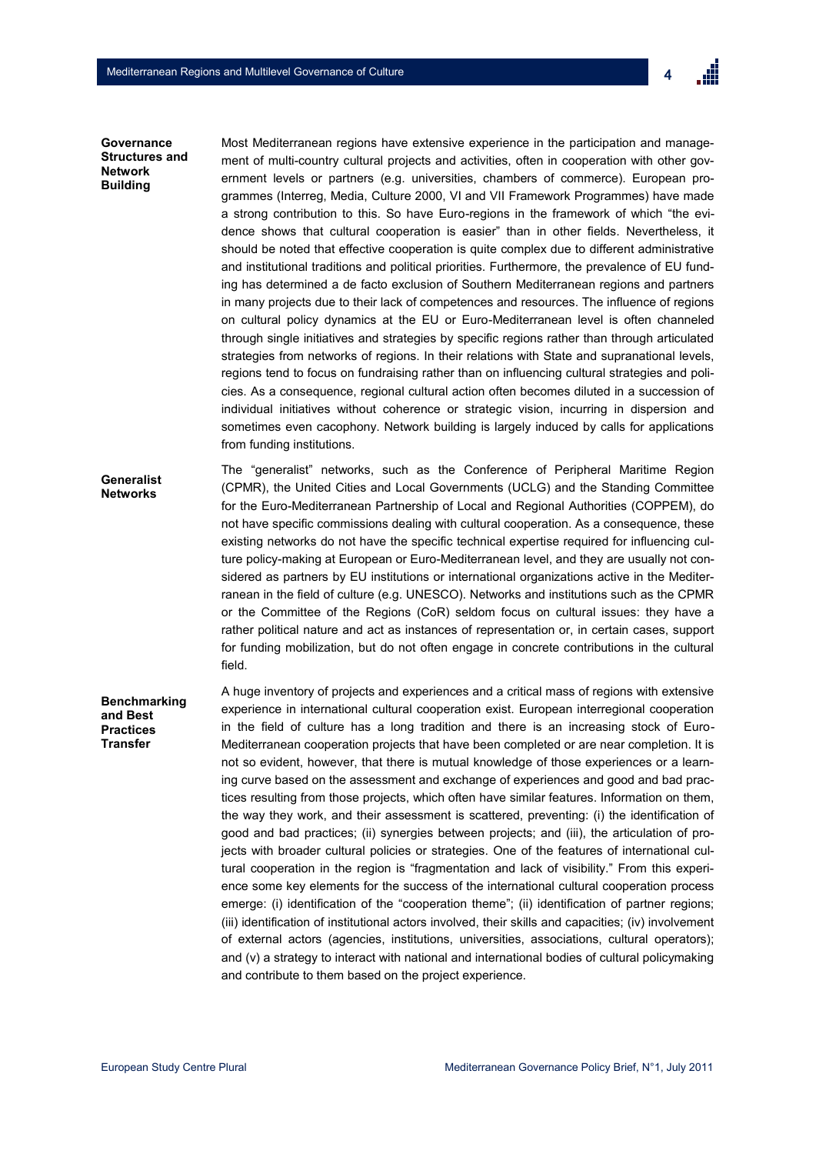

### **Governance Structures and Network Building**

Most Mediterranean regions have extensive experience in the participation and management of multi-country cultural projects and activities, often in cooperation with other government levels or partners (e.g. universities, chambers of commerce). European programmes (Interreg, Media, Culture 2000, VI and VII Framework Programmes) have made a strong contribution to this. So have Euro-regions in the framework of which "the evidence shows that cultural cooperation is easier" than in other fields. Nevertheless, it should be noted that effective cooperation is quite complex due to different administrative and institutional traditions and political priorities. Furthermore, the prevalence of EU funding has determined a de facto exclusion of Southern Mediterranean regions and partners in many projects due to their lack of competences and resources. The influence of regions on cultural policy dynamics at the EU or Euro-Mediterranean level is often channeled through single initiatives and strategies by specific regions rather than through articulated strategies from networks of regions. In their relations with State and supranational levels, regions tend to focus on fundraising rather than on influencing cultural strategies and policies. As a consequence, regional cultural action often becomes diluted in a succession of individual initiatives without coherence or strategic vision, incurring in dispersion and sometimes even cacophony. Network building is largely induced by calls for applications from funding institutions.

The "generalist" networks, such as the Conference of Peripheral Maritime Region (CPMR), the United Cities and Local Governments (UCLG) and the Standing Committee for the Euro-Mediterranean Partnership of Local and Regional Authorities (COPPEM), do not have specific commissions dealing with cultural cooperation. As a consequence, these existing networks do not have the specific technical expertise required for influencing culture policy-making at European or Euro-Mediterranean level, and they are usually not considered as partners by EU institutions or international organizations active in the Mediterranean in the field of culture (e.g. UNESCO). Networks and institutions such as the CPMR or the Committee of the Regions (CoR) seldom focus on cultural issues: they have a rather political nature and act as instances of representation or, in certain cases, support for funding mobilization, but do not often engage in concrete contributions in the cultural field. **Generalist Networks** 

# **Benchmarking and Best Practices Transfer**

A huge inventory of projects and experiences and a critical mass of regions with extensive experience in international cultural cooperation exist. European interregional cooperation in the field of culture has a long tradition and there is an increasing stock of Euro-Mediterranean cooperation projects that have been completed or are near completion. It is not so evident, however, that there is mutual knowledge of those experiences or a learning curve based on the assessment and exchange of experiences and good and bad practices resulting from those projects, which often have similar features. Information on them, the way they work, and their assessment is scattered, preventing: (i) the identification of good and bad practices; (ii) synergies between projects; and (iii), the articulation of projects with broader cultural policies or strategies. One of the features of international cultural cooperation in the region is "fragmentation and lack of visibility." From this experience some key elements for the success of the international cultural cooperation process emerge: (i) identification of the "cooperation theme"; (ii) identification of partner regions; (iii) identification of institutional actors involved, their skills and capacities; (iv) involvement of external actors (agencies, institutions, universities, associations, cultural operators); and (v) a strategy to interact with national and international bodies of cultural policymaking and contribute to them based on the project experience.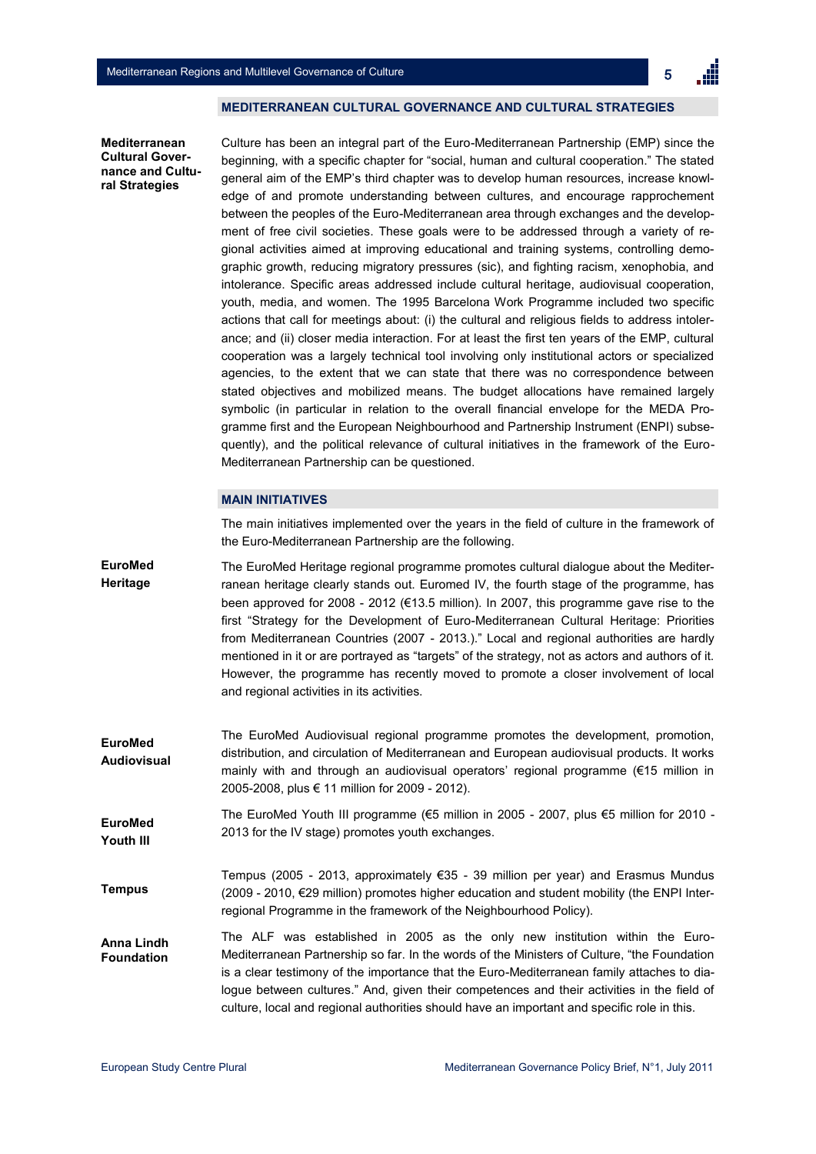

#### **MEDITERRANEAN CULTURAL GOVERNANCE AND CULTURAL STRATEGIES**

**Mediterranean Cultural Governance and Cultural Strategies**

Culture has been an integral part of the Euro-Mediterranean Partnership (EMP) since the beginning, with a specific chapter for "social, human and cultural cooperation." The stated general aim of the EMP"s third chapter was to develop human resources, increase knowledge of and promote understanding between cultures, and encourage rapprochement between the peoples of the Euro-Mediterranean area through exchanges and the development of free civil societies. These goals were to be addressed through a variety of regional activities aimed at improving educational and training systems, controlling demographic growth, reducing migratory pressures (sic), and fighting racism, xenophobia, and intolerance. Specific areas addressed include cultural heritage, audiovisual cooperation, youth, media, and women. The 1995 Barcelona Work Programme included two specific actions that call for meetings about: (i) the cultural and religious fields to address intolerance; and (ii) closer media interaction. For at least the first ten years of the EMP, cultural cooperation was a largely technical tool involving only institutional actors or specialized agencies, to the extent that we can state that there was no correspondence between stated objectives and mobilized means. The budget allocations have remained largely symbolic (in particular in relation to the overall financial envelope for the MEDA Programme first and the European Neighbourhood and Partnership Instrument (ENPI) subsequently), and the political relevance of cultural initiatives in the framework of the Euro-Mediterranean Partnership can be questioned.

## **MAIN INITIATIVES**

The main initiatives implemented over the years in the field of culture in the framework of the Euro-Mediterranean Partnership are the following.

The EuroMed Heritage regional programme promotes cultural dialogue about the Mediterranean heritage clearly stands out. Euromed IV, the fourth stage of the programme, has been approved for 2008 - 2012 (€13.5 million). In 2007, this programme gave rise to the first "Strategy for the Development of Euro-Mediterranean Cultural Heritage: Priorities from Mediterranean Countries (2007 - 2013.)." Local and regional authorities are hardly mentioned in it or are portrayed as "targets" of the strategy, not as actors and authors of it. However, the programme has recently moved to promote a closer involvement of local and regional activities in its activities. **EuroMed Heritage**

The EuroMed Audiovisual regional programme promotes the development, promotion, distribution, and circulation of Mediterranean and European audiovisual products. It works mainly with and through an audiovisual operators" regional programme (€15 million in 2005-2008, plus € 11 million for 2009 - 2012). **EuroMed Audiovisual**

The EuroMed Youth III programme (€5 million in 2005 - 2007, plus €5 million for 2010 - 2013 for the IV stage) promotes youth exchanges. **EuroMed Youth III**

Tempus (2005 - 2013, approximately €35 - 39 million per year) and Erasmus Mundus (2009 - 2010, €29 million) promotes higher education and student mobility (the ENPI Interregional Programme in the framework of the Neighbourhood Policy). **Tempus**

The ALF was established in 2005 as the only new institution within the Euro-Mediterranean Partnership so far. In the words of the Ministers of Culture, "the Foundation is a clear testimony of the importance that the Euro-Mediterranean family attaches to dialogue between cultures." And, given their competences and their activities in the field of culture, local and regional authorities should have an important and specific role in this. **Anna Lindh Foundation**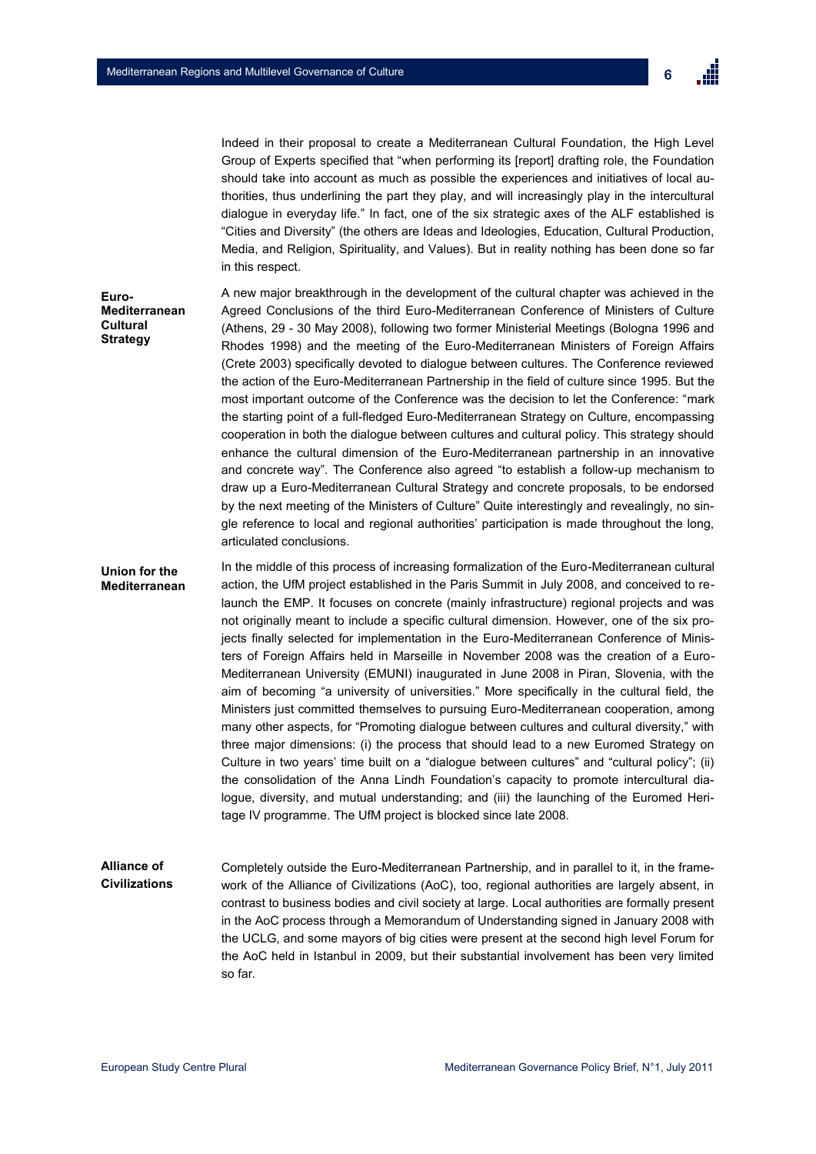**Euro-**



Indeed in their proposal to create a Mediterranean Cultural Foundation, the High Level Group of Experts specified that "when performing its [report] drafting role, the Foundation should take into account as much as possible the experiences and initiatives of local authorities, thus underlining the part they play, and will increasingly play in the intercultural dialogue in everyday life." In fact, one of the six strategic axes of the ALF established is "Cities and Diversity" (the others are Ideas and Ideologies, Education, Cultural Production, Media, and Religion, Spirituality, and Values). But in reality nothing has been done so far in this respect.

A new major breakthrough in the development of the cultural chapter was achieved in the Agreed Conclusions of the third Euro-Mediterranean Conference of Ministers of Culture (Athens, 29 - 30 May 2008), following two former Ministerial Meetings (Bologna 1996 and Rhodes 1998) and the meeting of the Euro-Mediterranean Ministers of Foreign Affairs (Crete 2003) specifically devoted to dialogue between cultures. The Conference reviewed the action of the Euro-Mediterranean Partnership in the field of culture since 1995. But the most important outcome of the Conference was the decision to let the Conference: "mark the starting point of a full-fledged Euro-Mediterranean Strategy on Culture, encompassing cooperation in both the dialogue between cultures and cultural policy. This strategy should enhance the cultural dimension of the Euro-Mediterranean partnership in an innovative and concrete way". The Conference also agreed "to establish a follow-up mechanism to draw up a Euro-Mediterranean Cultural Strategy and concrete proposals, to be endorsed by the next meeting of the Ministers of Culture" Quite interestingly and revealingly, no single reference to local and regional authorities" participation is made throughout the long, articulated conclusions. **Mediterranean Cultural Strategy**

In the middle of this process of increasing formalization of the Euro-Mediterranean cultural action, the UfM project established in the Paris Summit in July 2008, and conceived to relaunch the EMP. It focuses on concrete (mainly infrastructure) regional projects and was not originally meant to include a specific cultural dimension. However, one of the six projects finally selected for implementation in the Euro-Mediterranean Conference of Ministers of Foreign Affairs held in Marseille in November 2008 was the creation of a Euro-Mediterranean University (EMUNI) inaugurated in June 2008 in Piran, Slovenia, with the aim of becoming "a university of universities." More specifically in the cultural field, the Ministers just committed themselves to pursuing Euro-Mediterranean cooperation, among many other aspects, for "Promoting dialogue between cultures and cultural diversity," with three major dimensions: (i) the process that should lead to a new Euromed Strategy on Culture in two years" time built on a "dialogue between cultures" and "cultural policy"; (ii) the consolidation of the Anna Lindh Foundation"s capacity to promote intercultural dialogue, diversity, and mutual understanding; and (iii) the launching of the Euromed Heritage IV programme. The UfM project is blocked since late 2008. **Union for the Mediterranean**

#### Completely outside the Euro-Mediterranean Partnership, and in parallel to it, in the framework of the Alliance of Civilizations (AoC), too, regional authorities are largely absent, in contrast to business bodies and civil society at large. Local authorities are formally present in the AoC process through a Memorandum of Understanding signed in January 2008 with the UCLG, and some mayors of big cities were present at the second high level Forum for the AoC held in Istanbul in 2009, but their substantial involvement has been very limited so far. **Alliance of Civilizations**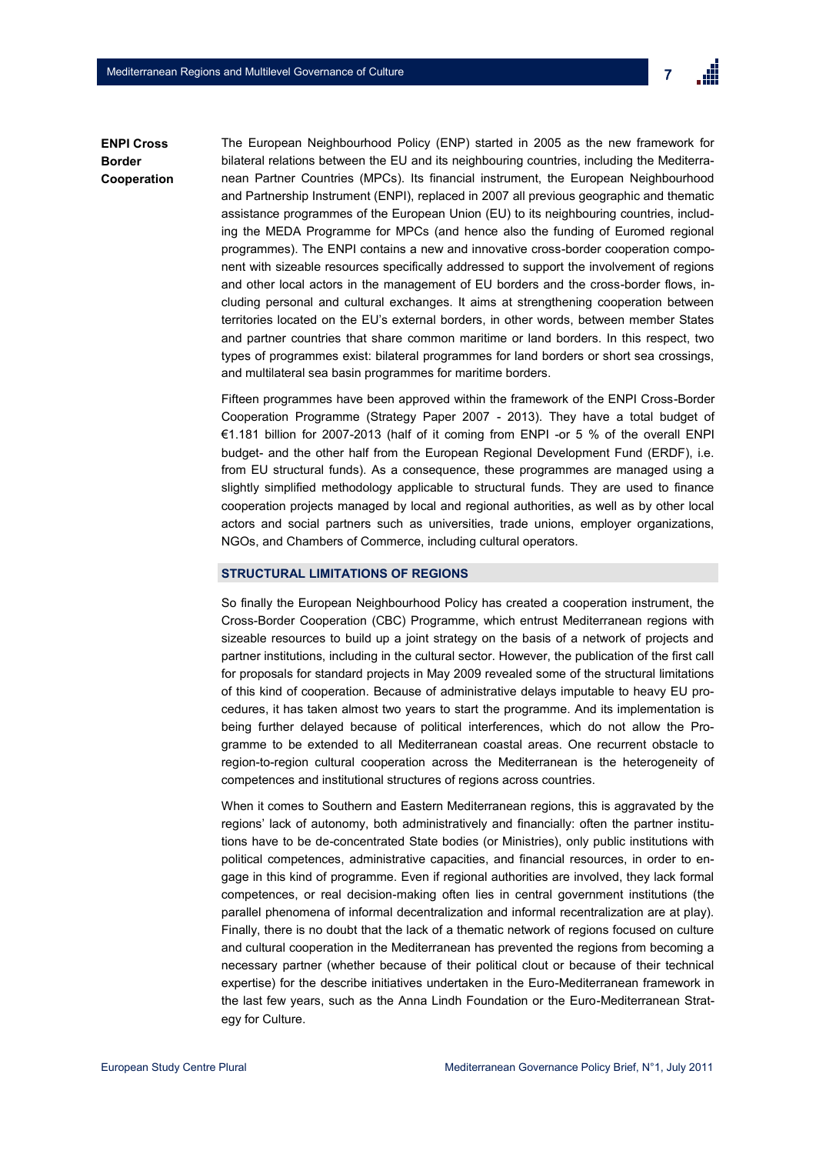**Border**



The European Neighbourhood Policy (ENP) started in 2005 as the new framework for bilateral relations between the EU and its neighbouring countries, including the Mediterranean Partner Countries (MPCs). Its financial instrument, the European Neighbourhood and Partnership Instrument (ENPI), replaced in 2007 all previous geographic and thematic assistance programmes of the European Union (EU) to its neighbouring countries, including the MEDA Programme for MPCs (and hence also the funding of Euromed regional programmes). The ENPI contains a new and innovative cross-border cooperation component with sizeable resources specifically addressed to support the involvement of regions and other local actors in the management of EU borders and the cross-border flows, including personal and cultural exchanges. It aims at strengthening cooperation between territories located on the EU"s external borders, in other words, between member States and partner countries that share common maritime or land borders. In this respect, two types of programmes exist: bilateral programmes for land borders or short sea crossings, and multilateral sea basin programmes for maritime borders. **ENPI Cross Cooperation**

> Fifteen programmes have been approved within the framework of the ENPI Cross-Border Cooperation Programme (Strategy Paper 2007 - 2013). They have a total budget of €1.181 billion for 2007-2013 (half of it coming from ENPI -or 5 % of the overall ENPI budget- and the other half from the European Regional Development Fund (ERDF), i.e. from EU structural funds). As a consequence, these programmes are managed using a slightly simplified methodology applicable to structural funds. They are used to finance cooperation projects managed by local and regional authorities, as well as by other local actors and social partners such as universities, trade unions, employer organizations, NGOs, and Chambers of Commerce, including cultural operators.

#### **STRUCTURAL LIMITATIONS OF REGIONS**

So finally the European Neighbourhood Policy has created a cooperation instrument, the Cross-Border Cooperation (CBC) Programme, which entrust Mediterranean regions with sizeable resources to build up a joint strategy on the basis of a network of projects and partner institutions, including in the cultural sector. However, the publication of the first call for proposals for standard projects in May 2009 revealed some of the structural limitations of this kind of cooperation. Because of administrative delays imputable to heavy EU procedures, it has taken almost two years to start the programme. And its implementation is being further delayed because of political interferences, which do not allow the Programme to be extended to all Mediterranean coastal areas. One recurrent obstacle to region-to-region cultural cooperation across the Mediterranean is the heterogeneity of competences and institutional structures of regions across countries.

When it comes to Southern and Eastern Mediterranean regions, this is aggravated by the regions" lack of autonomy, both administratively and financially: often the partner institutions have to be de-concentrated State bodies (or Ministries), only public institutions with political competences, administrative capacities, and financial resources, in order to engage in this kind of programme. Even if regional authorities are involved, they lack formal competences, or real decision-making often lies in central government institutions (the parallel phenomena of informal decentralization and informal recentralization are at play). Finally, there is no doubt that the lack of a thematic network of regions focused on culture and cultural cooperation in the Mediterranean has prevented the regions from becoming a necessary partner (whether because of their political clout or because of their technical expertise) for the describe initiatives undertaken in the Euro-Mediterranean framework in the last few years, such as the Anna Lindh Foundation or the Euro-Mediterranean Strategy for Culture.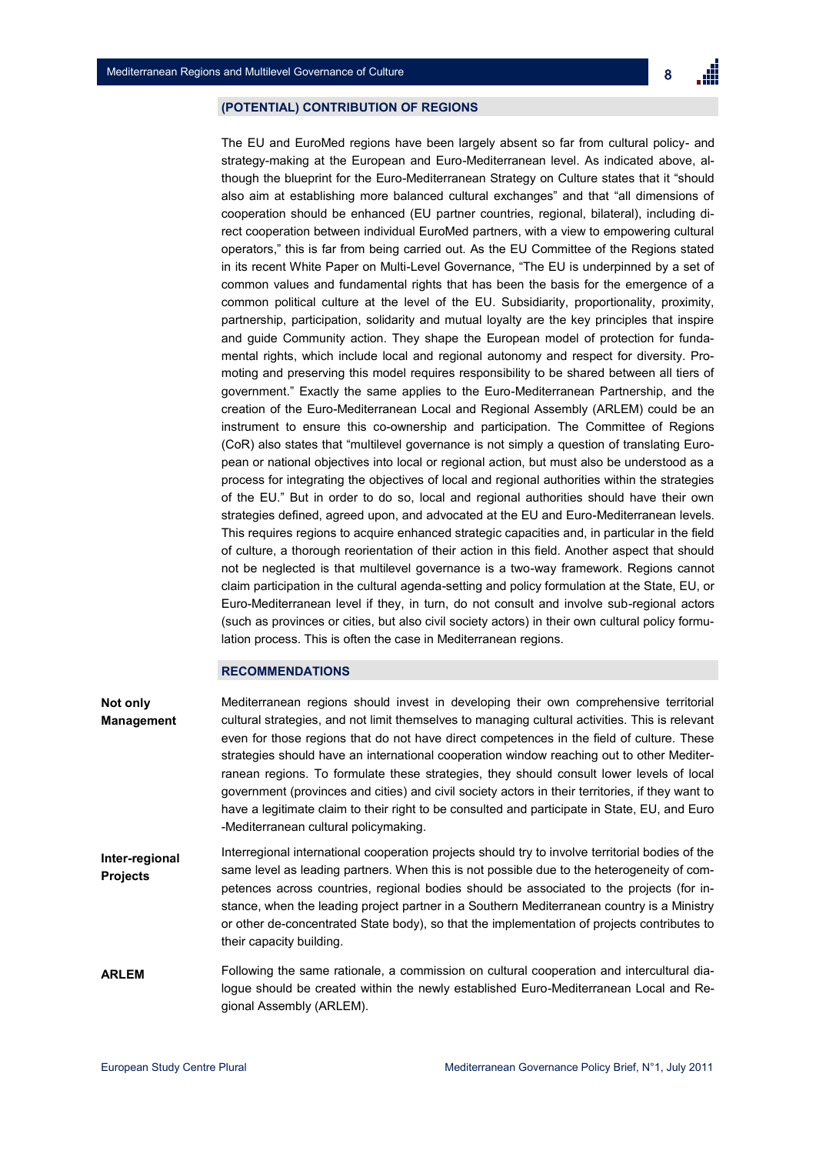# **(POTENTIAL) CONTRIBUTION OF REGIONS**

The EU and EuroMed regions have been largely absent so far from cultural policy- and strategy-making at the European and Euro-Mediterranean level. As indicated above, although the blueprint for the Euro-Mediterranean Strategy on Culture states that it "should also aim at establishing more balanced cultural exchanges" and that "all dimensions of cooperation should be enhanced (EU partner countries, regional, bilateral), including direct cooperation between individual EuroMed partners, with a view to empowering cultural operators," this is far from being carried out. As the EU Committee of the Regions stated in its recent White Paper on Multi-Level Governance, "The EU is underpinned by a set of common values and fundamental rights that has been the basis for the emergence of a common political culture at the level of the EU. Subsidiarity, proportionality, proximity, partnership, participation, solidarity and mutual loyalty are the key principles that inspire and guide Community action. They shape the European model of protection for fundamental rights, which include local and regional autonomy and respect for diversity. Promoting and preserving this model requires responsibility to be shared between all tiers of government." Exactly the same applies to the Euro-Mediterranean Partnership, and the creation of the Euro-Mediterranean Local and Regional Assembly (ARLEM) could be an instrument to ensure this co-ownership and participation. The Committee of Regions (CoR) also states that "multilevel governance is not simply a question of translating European or national objectives into local or regional action, but must also be understood as a process for integrating the objectives of local and regional authorities within the strategies of the EU." But in order to do so, local and regional authorities should have their own strategies defined, agreed upon, and advocated at the EU and Euro-Mediterranean levels. This requires regions to acquire enhanced strategic capacities and, in particular in the field of culture, a thorough reorientation of their action in this field. Another aspect that should not be neglected is that multilevel governance is a two-way framework. Regions cannot claim participation in the cultural agenda-setting and policy formulation at the State, EU, or Euro-Mediterranean level if they, in turn, do not consult and involve sub-regional actors (such as provinces or cities, but also civil society actors) in their own cultural policy formulation process. This is often the case in Mediterranean regions.

# **RECOMMENDATIONS**

their capacity building.

Mediterranean regions should invest in developing their own comprehensive territorial cultural strategies, and not limit themselves to managing cultural activities. This is relevant even for those regions that do not have direct competences in the field of culture. These strategies should have an international cooperation window reaching out to other Mediterranean regions. To formulate these strategies, they should consult lower levels of local government (provinces and cities) and civil society actors in their territories, if they want to have a legitimate claim to their right to be consulted and participate in State, EU, and Euro -Mediterranean cultural policymaking. Interregional international cooperation projects should try to involve territorial bodies of the same level as leading partners. When this is not possible due to the heterogeneity of competences across countries, regional bodies should be associated to the projects (for instance, when the leading project partner in a Southern Mediterranean country is a Ministry or other de-concentrated State body), so that the implementation of projects contributes to **Not only Management Inter-regional Projects**

Following the same rationale, a commission on cultural cooperation and intercultural dialogue should be created within the newly established Euro-Mediterranean Local and Regional Assembly (ARLEM). **ARLEM**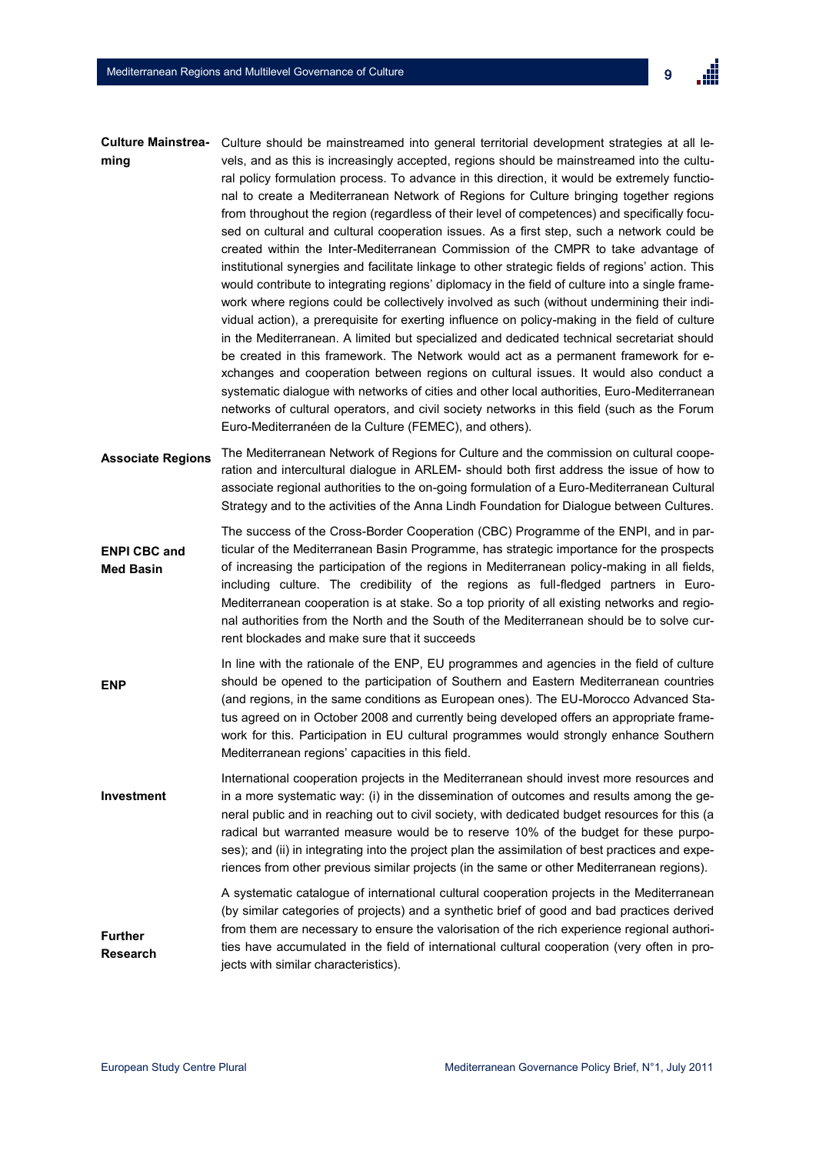| <b>Culture Mainstrea-</b><br>ming       | Culture should be mainstreamed into general territorial development strategies at all le-<br>vels, and as this is increasingly accepted, regions should be mainstreamed into the cultu-<br>ral policy formulation process. To advance in this direction, it would be extremely functio-<br>nal to create a Mediterranean Network of Regions for Culture bringing together regions<br>from throughout the region (regardless of their level of competences) and specifically focu-<br>sed on cultural and cultural cooperation issues. As a first step, such a network could be<br>created within the Inter-Mediterranean Commission of the CMPR to take advantage of<br>institutional synergies and facilitate linkage to other strategic fields of regions' action. This<br>would contribute to integrating regions' diplomacy in the field of culture into a single frame-<br>work where regions could be collectively involved as such (without undermining their indi-<br>vidual action), a prerequisite for exerting influence on policy-making in the field of culture<br>in the Mediterranean. A limited but specialized and dedicated technical secretariat should<br>be created in this framework. The Network would act as a permanent framework for e-<br>xchanges and cooperation between regions on cultural issues. It would also conduct a<br>systematic dialogue with networks of cities and other local authorities, Euro-Mediterranean<br>networks of cultural operators, and civil society networks in this field (such as the Forum<br>Euro-Mediterranéen de la Culture (FEMEC), and others). |
|-----------------------------------------|-------------------------------------------------------------------------------------------------------------------------------------------------------------------------------------------------------------------------------------------------------------------------------------------------------------------------------------------------------------------------------------------------------------------------------------------------------------------------------------------------------------------------------------------------------------------------------------------------------------------------------------------------------------------------------------------------------------------------------------------------------------------------------------------------------------------------------------------------------------------------------------------------------------------------------------------------------------------------------------------------------------------------------------------------------------------------------------------------------------------------------------------------------------------------------------------------------------------------------------------------------------------------------------------------------------------------------------------------------------------------------------------------------------------------------------------------------------------------------------------------------------------------------------------------------------------------------------------------------------------|
| <b>Associate Regions</b>                | The Mediterranean Network of Regions for Culture and the commission on cultural coope-<br>ration and intercultural dialogue in ARLEM- should both first address the issue of how to<br>associate regional authorities to the on-going formulation of a Euro-Mediterranean Cultural<br>Strategy and to the activities of the Anna Lindh Foundation for Dialogue between Cultures.                                                                                                                                                                                                                                                                                                                                                                                                                                                                                                                                                                                                                                                                                                                                                                                                                                                                                                                                                                                                                                                                                                                                                                                                                                  |
| <b>ENPI CBC and</b><br><b>Med Basin</b> | The success of the Cross-Border Cooperation (CBC) Programme of the ENPI, and in par-<br>ticular of the Mediterranean Basin Programme, has strategic importance for the prospects<br>of increasing the participation of the regions in Mediterranean policy-making in all fields,<br>including culture. The credibility of the regions as full-fledged partners in Euro-<br>Mediterranean cooperation is at stake. So a top priority of all existing networks and regio-<br>nal authorities from the North and the South of the Mediterranean should be to solve cur-<br>rent blockades and make sure that it succeeds                                                                                                                                                                                                                                                                                                                                                                                                                                                                                                                                                                                                                                                                                                                                                                                                                                                                                                                                                                                             |
| <b>ENP</b>                              | In line with the rationale of the ENP, EU programmes and agencies in the field of culture<br>should be opened to the participation of Southern and Eastern Mediterranean countries<br>(and regions, in the same conditions as European ones). The EU-Morocco Advanced Sta-<br>tus agreed on in October 2008 and currently being developed offers an appropriate frame-<br>work for this. Participation in EU cultural programmes would strongly enhance Southern<br>Mediterranean regions' capacities in this field.                                                                                                                                                                                                                                                                                                                                                                                                                                                                                                                                                                                                                                                                                                                                                                                                                                                                                                                                                                                                                                                                                              |
| Investment                              | International cooperation projects in the Mediterranean should invest more resources and<br>in a more systematic way: (i) in the dissemination of outcomes and results among the ge-<br>neral public and in reaching out to civil society, with dedicated budget resources for this (a<br>radical but warranted measure would be to reserve 10% of the budget for these purpo-<br>ses); and (ii) in integrating into the project plan the assimilation of best practices and expe-<br>riences from other previous similar projects (in the same or other Mediterranean regions).                                                                                                                                                                                                                                                                                                                                                                                                                                                                                                                                                                                                                                                                                                                                                                                                                                                                                                                                                                                                                                  |
| <b>Further</b><br><b>Research</b>       | A systematic catalogue of international cultural cooperation projects in the Mediterranean<br>(by similar categories of projects) and a synthetic brief of good and bad practices derived<br>from them are necessary to ensure the valorisation of the rich experience regional authori-<br>ties have accumulated in the field of international cultural cooperation (very often in pro-<br>jects with similar characteristics).                                                                                                                                                                                                                                                                                                                                                                                                                                                                                                                                                                                                                                                                                                                                                                                                                                                                                                                                                                                                                                                                                                                                                                                  |